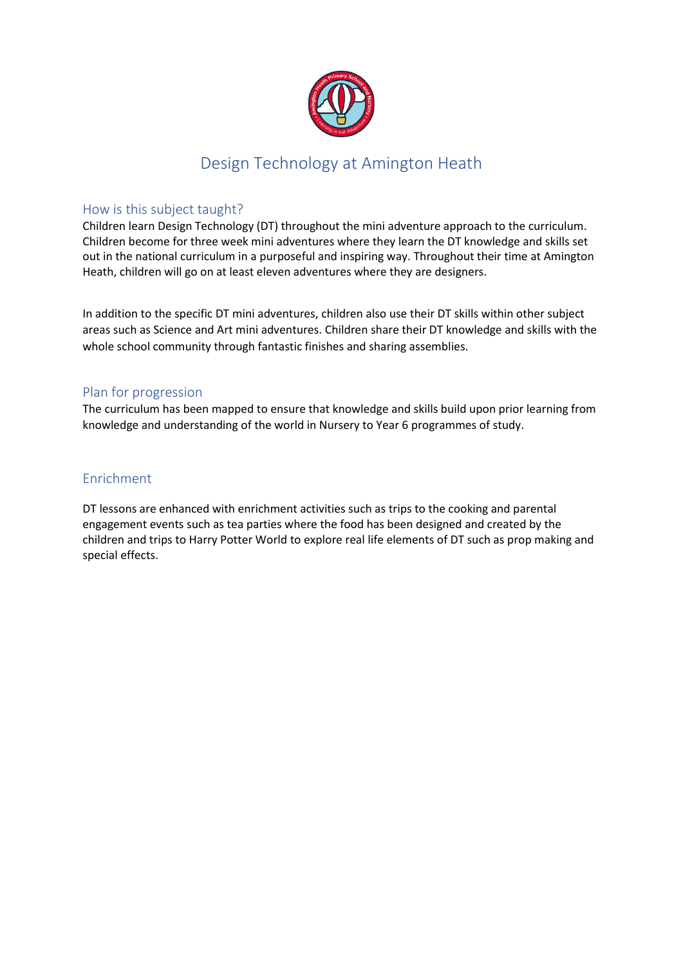

## Design Technology at Amington Heath

### How is this subject taught?

Children learn Design Technology (DT) throughout the mini adventure approach to the curriculum. Children become for three week mini adventures where they learn the DT knowledge and skills set out in the national curriculum in a purposeful and inspiring way. Throughout their time at Amington Heath, children will go on at least eleven adventures where they are designers.

In addition to the specific DT mini adventures, children also use their DT skills within other subject areas such as Science and Art mini adventures. Children share their DT knowledge and skills with the whole school community through fantastic finishes and sharing assemblies.

### Plan for progression

The curriculum has been mapped to ensure that knowledge and skills build upon prior learning from knowledge and understanding of the world in Nursery to Year 6 programmes of study.

#### Enrichment

DT lessons are enhanced with enrichment activities such as trips to the cooking and parental engagement events such as tea parties where the food has been designed and created by the children and trips to Harry Potter World to explore real life elements of DT such as prop making and special effects.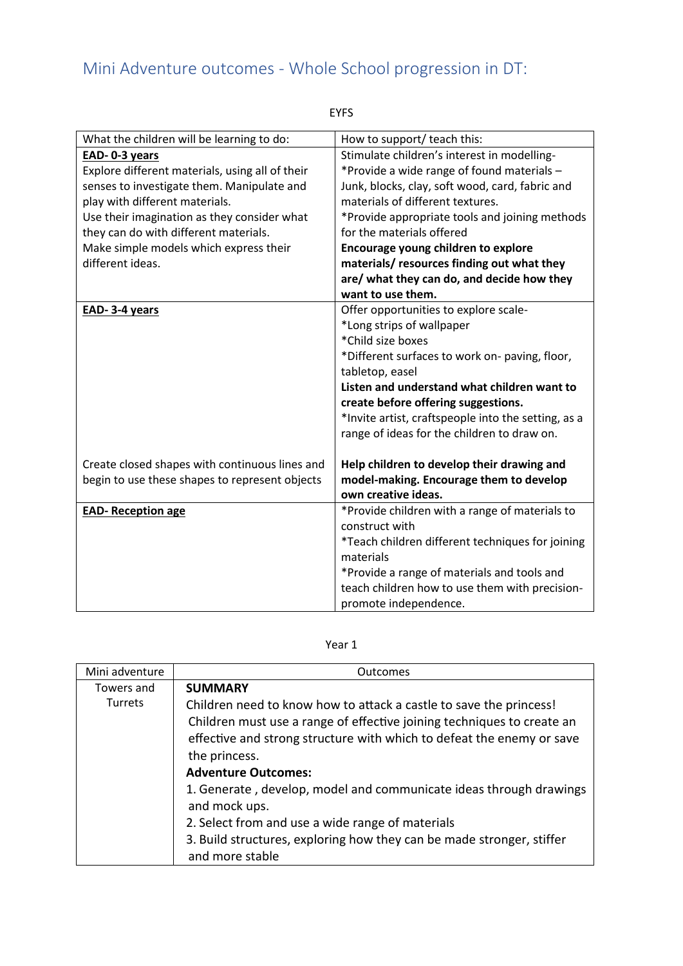# Mini Adventure outcomes - Whole School progression in DT:

| ×<br>۰. |
|---------|
|---------|

| What the children will be learning to do:       | How to support/ teach this:                         |
|-------------------------------------------------|-----------------------------------------------------|
| EAD-0-3 years                                   | Stimulate children's interest in modelling-         |
| Explore different materials, using all of their | *Provide a wide range of found materials -          |
| senses to investigate them. Manipulate and      | Junk, blocks, clay, soft wood, card, fabric and     |
| play with different materials.                  | materials of different textures.                    |
| Use their imagination as they consider what     | *Provide appropriate tools and joining methods      |
| they can do with different materials.           | for the materials offered                           |
| Make simple models which express their          | <b>Encourage young children to explore</b>          |
| different ideas.                                | materials/resources finding out what they           |
|                                                 | are/ what they can do, and decide how they          |
|                                                 | want to use them.                                   |
| EAD-3-4 years                                   | Offer opportunities to explore scale-               |
|                                                 | *Long strips of wallpaper                           |
|                                                 | *Child size boxes                                   |
|                                                 | *Different surfaces to work on- paving, floor,      |
|                                                 | tabletop, easel                                     |
|                                                 | Listen and understand what children want to         |
|                                                 | create before offering suggestions.                 |
|                                                 | *Invite artist, craftspeople into the setting, as a |
|                                                 | range of ideas for the children to draw on.         |
|                                                 |                                                     |
| Create closed shapes with continuous lines and  | Help children to develop their drawing and          |
| begin to use these shapes to represent objects  | model-making. Encourage them to develop             |
|                                                 | own creative ideas.                                 |
| <b>EAD-Reception age</b>                        | *Provide children with a range of materials to      |
|                                                 | construct with                                      |
|                                                 | *Teach children different techniques for joining    |
|                                                 | materials                                           |
|                                                 | *Provide a range of materials and tools and         |
|                                                 | teach children how to use them with precision-      |
|                                                 | promote independence.                               |

#### Year 1

| Mini adventure | <b>Outcomes</b>                                                                                                                                                                                                                                                                                                                                                                                                                                                                                             |
|----------------|-------------------------------------------------------------------------------------------------------------------------------------------------------------------------------------------------------------------------------------------------------------------------------------------------------------------------------------------------------------------------------------------------------------------------------------------------------------------------------------------------------------|
| Towers and     | <b>SUMMARY</b>                                                                                                                                                                                                                                                                                                                                                                                                                                                                                              |
| <b>Turrets</b> | Children need to know how to attack a castle to save the princess!<br>Children must use a range of effective joining techniques to create an<br>effective and strong structure with which to defeat the enemy or save<br>the princess.<br><b>Adventure Outcomes:</b><br>1. Generate, develop, model and communicate ideas through drawings<br>and mock ups.<br>2. Select from and use a wide range of materials<br>3. Build structures, exploring how they can be made stronger, stiffer<br>and more stable |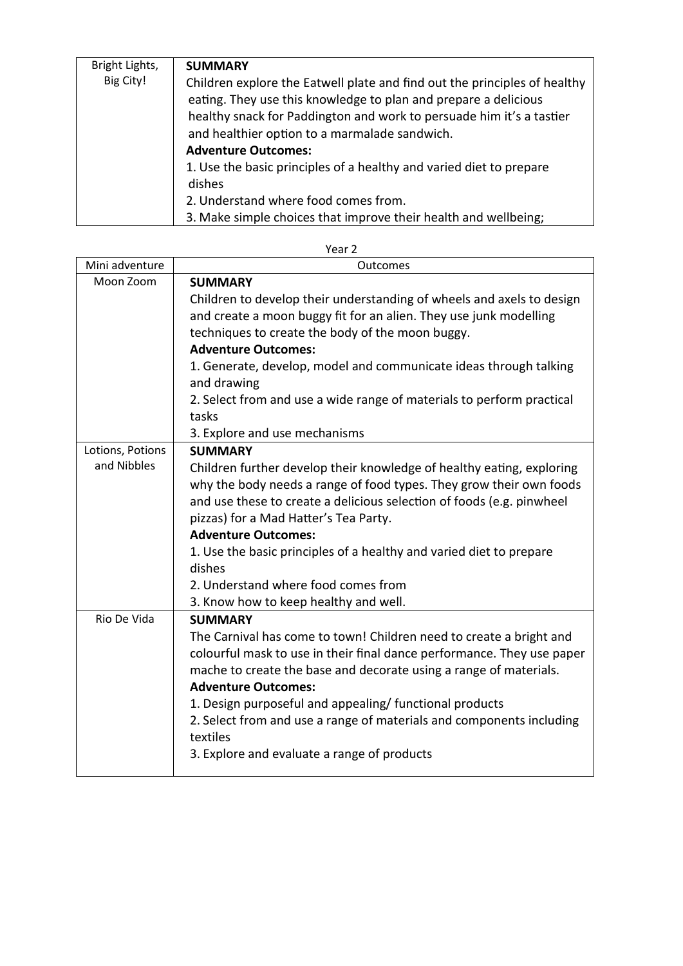| Bright Lights, | <b>SUMMARY</b>                                                            |
|----------------|---------------------------------------------------------------------------|
| Big City!      | Children explore the Eatwell plate and find out the principles of healthy |
|                | eating. They use this knowledge to plan and prepare a delicious           |
|                | healthy snack for Paddington and work to persuade him it's a tastier      |
|                | and healthier option to a marmalade sandwich.                             |
|                | <b>Adventure Outcomes:</b>                                                |
|                | 1. Use the basic principles of a healthy and varied diet to prepare       |
|                | dishes                                                                    |
|                | 2. Understand where food comes from.                                      |
|                | 3. Make simple choices that improve their health and wellbeing;           |

| Mini adventure   | Outcomes                                                                         |
|------------------|----------------------------------------------------------------------------------|
| Moon Zoom        | <b>SUMMARY</b>                                                                   |
|                  | Children to develop their understanding of wheels and axels to design            |
|                  | and create a moon buggy fit for an alien. They use junk modelling                |
|                  | techniques to create the body of the moon buggy.                                 |
|                  | <b>Adventure Outcomes:</b>                                                       |
|                  | 1. Generate, develop, model and communicate ideas through talking                |
|                  | and drawing                                                                      |
|                  | 2. Select from and use a wide range of materials to perform practical            |
|                  | tasks                                                                            |
|                  | 3. Explore and use mechanisms                                                    |
| Lotions, Potions | <b>SUMMARY</b>                                                                   |
| and Nibbles      | Children further develop their knowledge of healthy eating, exploring            |
|                  | why the body needs a range of food types. They grow their own foods              |
|                  | and use these to create a delicious selection of foods (e.g. pinwheel            |
|                  | pizzas) for a Mad Hatter's Tea Party.                                            |
|                  | <b>Adventure Outcomes:</b>                                                       |
|                  | 1. Use the basic principles of a healthy and varied diet to prepare              |
|                  | dishes                                                                           |
|                  | 2. Understand where food comes from                                              |
|                  | 3. Know how to keep healthy and well.                                            |
| Rio De Vida      | <b>SUMMARY</b>                                                                   |
|                  | The Carnival has come to town! Children need to create a bright and              |
|                  | colourful mask to use in their final dance performance. They use paper           |
|                  | mache to create the base and decorate using a range of materials.                |
|                  | <b>Adventure Outcomes:</b>                                                       |
|                  | 1. Design purposeful and appealing/ functional products                          |
|                  | 2. Select from and use a range of materials and components including<br>textiles |
|                  |                                                                                  |
|                  | 3. Explore and evaluate a range of products                                      |

| Year 2 |  |
|--------|--|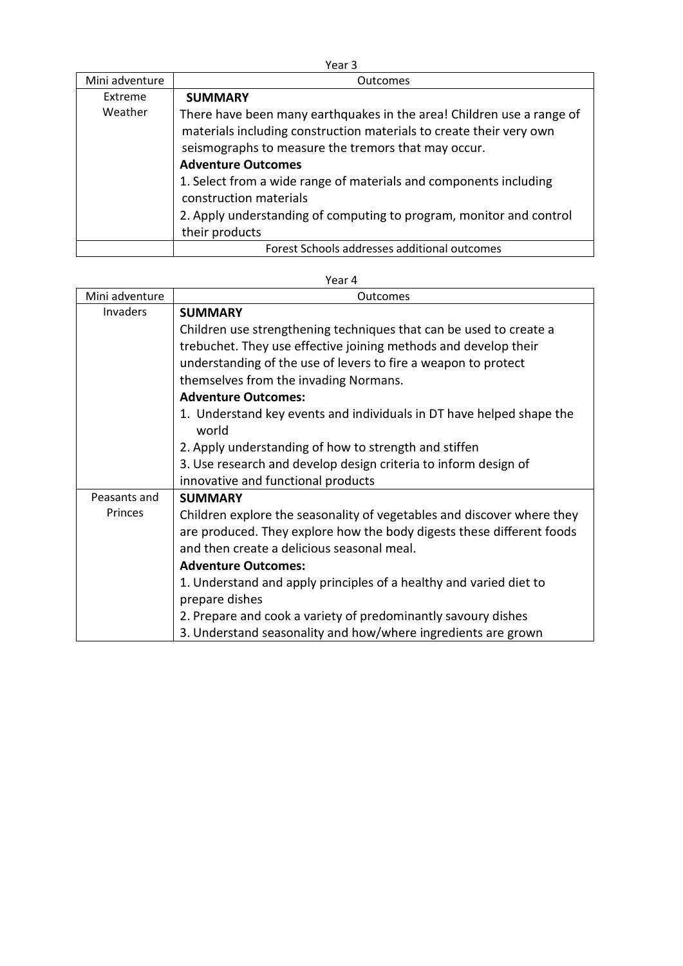| v<br>e e<br>×<br>× | ۰, |
|--------------------|----|
|--------------------|----|

| Mini adventure | <b>Outcomes</b>                                                                                                                                                                                                                                                                                                                                                                                                          |
|----------------|--------------------------------------------------------------------------------------------------------------------------------------------------------------------------------------------------------------------------------------------------------------------------------------------------------------------------------------------------------------------------------------------------------------------------|
| Extreme        | <b>SUMMARY</b>                                                                                                                                                                                                                                                                                                                                                                                                           |
| Weather        | There have been many earthquakes in the area! Children use a range of<br>materials including construction materials to create their very own<br>seismographs to measure the tremors that may occur.<br><b>Adventure Outcomes</b><br>1. Select from a wide range of materials and components including<br>construction materials<br>2. Apply understanding of computing to program, monitor and control<br>their products |
|                | Forest Schools addresses additional outcomes                                                                                                                                                                                                                                                                                                                                                                             |

| Mini adventure | Outcomes                                                                      |
|----------------|-------------------------------------------------------------------------------|
| Invaders       | <b>SUMMARY</b>                                                                |
|                | Children use strengthening techniques that can be used to create a            |
|                | trebuchet. They use effective joining methods and develop their               |
|                | understanding of the use of levers to fire a weapon to protect                |
|                | themselves from the invading Normans.                                         |
|                | <b>Adventure Outcomes:</b>                                                    |
|                | 1. Understand key events and individuals in DT have helped shape the<br>world |
|                | 2. Apply understanding of how to strength and stiffen                         |
|                | 3. Use research and develop design criteria to inform design of               |
|                | innovative and functional products                                            |
| Peasants and   | <b>SUMMARY</b>                                                                |
| Princes        | Children explore the seasonality of vegetables and discover where they        |
|                | are produced. They explore how the body digests these different foods         |
|                | and then create a delicious seasonal meal.                                    |
|                | <b>Adventure Outcomes:</b>                                                    |
|                | 1. Understand and apply principles of a healthy and varied diet to            |
|                | prepare dishes                                                                |
|                | 2. Prepare and cook a variety of predominantly savoury dishes                 |
|                | 3. Understand seasonality and how/where ingredients are grown                 |